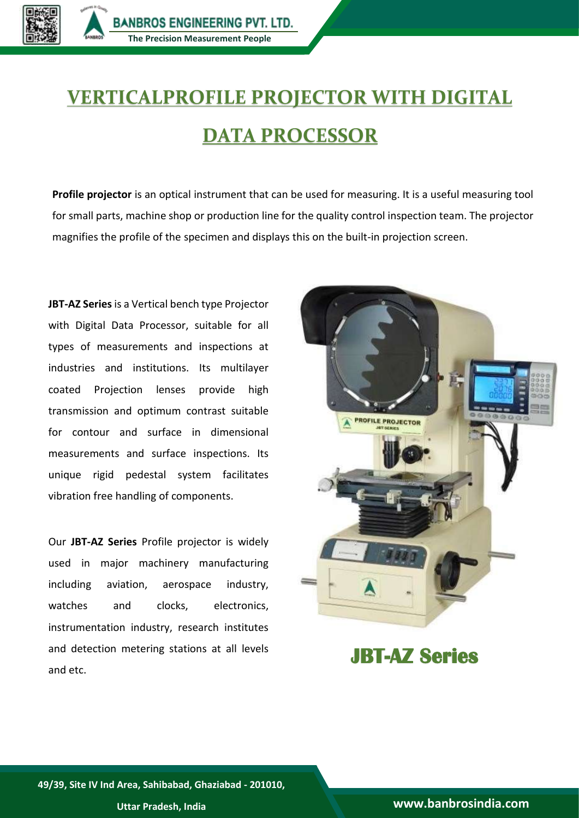

## **VERTICALPROFILE PROJECTOR WITH DIGITAL DATA PROCESSOR**

**Profile projector** is an optical instrument that can be used for measuring. It is a useful measuring tool for small parts, machine shop or production line for the quality control inspection team. The projector magnifies the profile of the specimen and displays this on the built-in projection screen.

**JBT-AZ Series** is a Vertical bench type Projector with Digital Data Processor, suitable for all types of measurements and inspections at industries and institutions. Its multilayer coated Projection lenses provide high transmission and optimum contrast suitable for contour and surface in dimensional measurements and surface inspections. Its unique rigid pedestal system facilitates vibration free handling of components.

Our **JBT-AZ Series** Profile projector is widely used in major machinery manufacturing including aviation, aerospace industry, watches and clocks, electronics, instrumentation industry, research institutes and detection metering stations at all levels and etc.



**JBT-AZ Series**